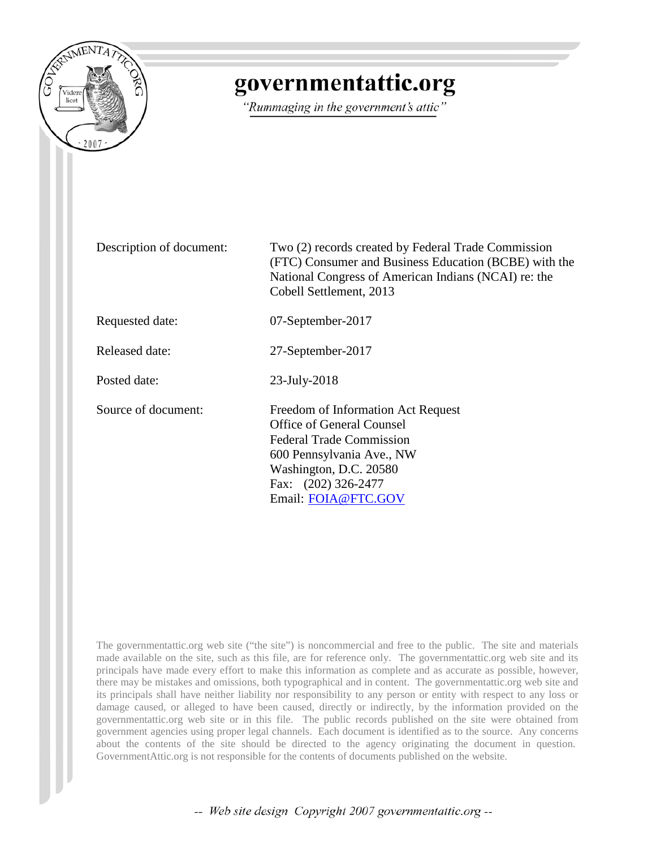

## governmentattic.org

"Rummaging in the government's attic"

Description of document: Two (2) records created by Federal Trade Commission (FTC) Consumer and Business Education (BCBE) with the National Congress of American Indians (NCAI) re: the Cobell Settlement, 2013

Requested date: 07-September-2017

Released date: 27-September-2017

Posted date: 23-July-2018

Source of document: Freedom of Information Act Request Office of General Counsel Federal Trade Commission 600 Pennsylvania Ave., NW Washington, D.C. 20580 Fax: (202) 326-2477 Email: [FOIA@FTC.GOV](mailto:FOIA@FTC.GOV?subject=FOIA%20Request)

The governmentattic.org web site ("the site") is noncommercial and free to the public. The site and materials made available on the site, such as this file, are for reference only. The governmentattic.org web site and its principals have made every effort to make this information as complete and as accurate as possible, however, there may be mistakes and omissions, both typographical and in content. The governmentattic.org web site and its principals shall have neither liability nor responsibility to any person or entity with respect to any loss or damage caused, or alleged to have been caused, directly or indirectly, by the information provided on the governmentattic.org web site or in this file. The public records published on the site were obtained from government agencies using proper legal channels. Each document is identified as to the source. Any concerns about the contents of the site should be directed to the agency originating the document in question. GovernmentAttic.org is not responsible for the contents of documents published on the website.

-- Web site design Copyright 2007 governmentattic.org --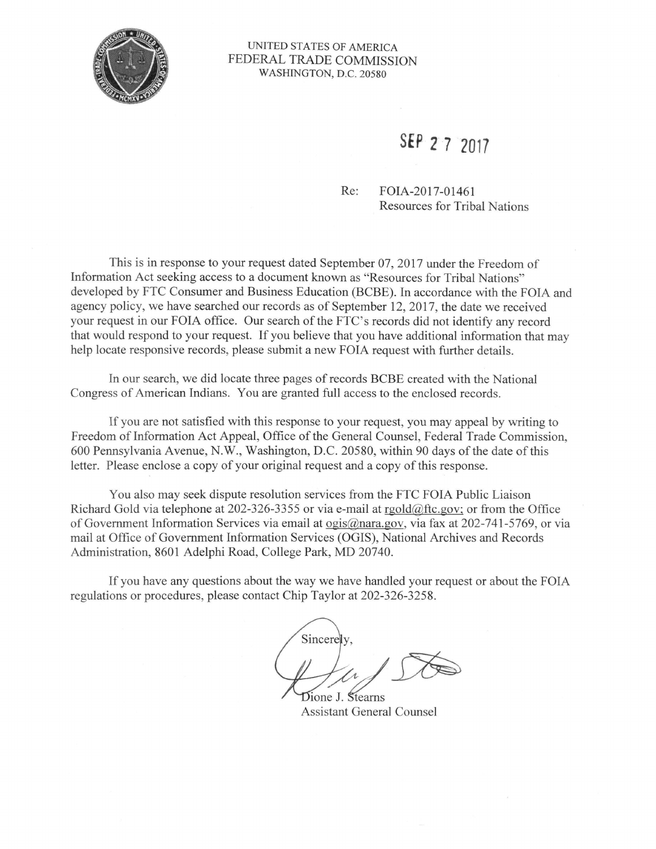

#### UNITED STATES OF AMERICA FEDERAL TRADE COMMISSION WASHINGTON, D.C. 20580

## **SEP 2 7 2017**

Re: FOIA-2017-01461 Resources for Tribal Nations

This is in response to your request dated September 07, 2017 under the Freedom of Information Act seeking access to a document known as "Resources for Tribal Nations" developed by FTC Consumer and Business Education (BCBE). In accordance with the FOIA and agency policy, we have searched our records as of September 12, 2017, the date we received your request in our FOIA office. Our search of the FTC's records did not identify any record that would respond to your request. If you believe that you have additional information that may help locate responsive records, please submit a new FOIA request with further details.

In our search, we did locate three pages ofrecords BCBE created with the National Congress of American Indians. You are granted full access to the enclosed records.

If you are not satisfied with this response to your request, you may appeal by writing to Freedom of Information Act Appeal, Office of the General Counsel, Federal Trade Commission, 600 Pennsylvania Avenue, N.W., Washington, D.C. 20580, within 90 days of the date of this letter. Please enclose a copy of your original request and a copy of this response.

You also may seek dispute resolution services from the FTC FOIA Public Liaison Richard Gold via telephone at 202-326-3355 or via e-mail at rgold@ftc.gov; or from the Office of Government Information Services via email at ogis@nara.gov, via fax at 202-741-5769, or via mail at Office of Government Information Services (OGIS), National Archives and Records Administration, 8601 Adelphi Road, College Park, MD 20740.

If you have any questions about the way we have handled your request or about the FOIA regulations or procedures, please contact Chip Taylor at 202-326-3258.

Sincerely. Dione J. Stearns

Assistant General Counsel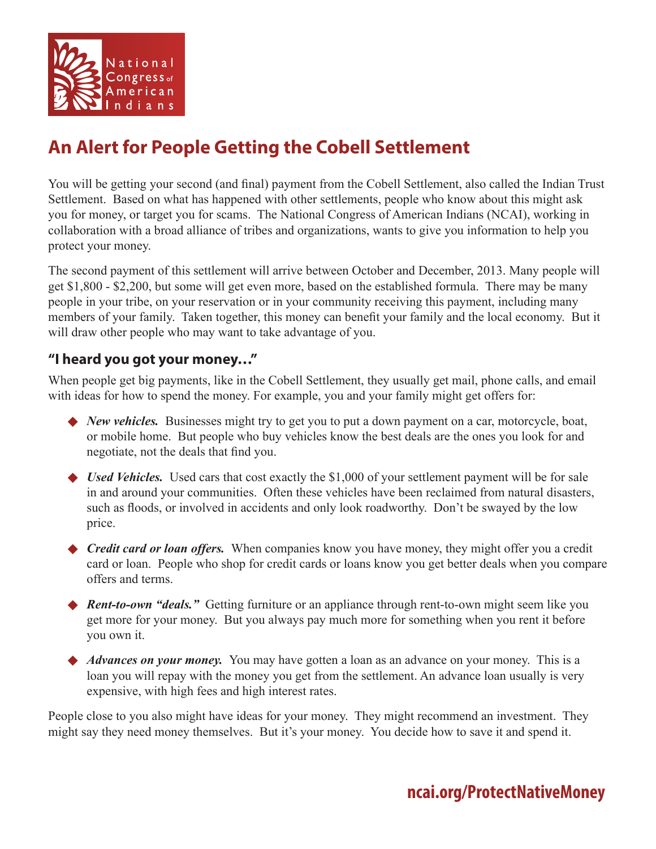

## **An Alert for People Getting the Cobell Settlement**

You will be getting your second (and final) payment from the Cobell Settlement, also called the Indian Trust Settlement. Based on what has happened with other settlements, people who know about this might ask you for money, or target you for scams. The National Congress of American Indians (NCAI), working in collaboration with a broad alliance of tribes and organizations, wants to give you information to help you protect your money.

The second payment of this settlement will arrive between October and December, 2013. Many people will get \$1,800 - \$2,200, but some will get even more, based on the established formula. There may be many people in your tribe, on your reservation or in your community receiving this payment, including many members of your family. Taken together, this money can benefit your family and the local economy. But it will draw other people who may want to take advantage of you.

### **"I heard you got your money…"**

When people get big payments, like in the Cobell Settlement, they usually get mail, phone calls, and email with ideas for how to spend the money. For example, you and your family might get offers for:

- ◆ *New vehicles.* Businesses might try to get you to put a down payment on a car, motorcycle, boat, or mobile home. But people who buy vehicles know the best deals are the ones you look for and negotiate, not the deals that find you.
- ◆ *Used Vehicles.* Used cars that cost exactly the \$1,000 of your settlement payment will be for sale in and around your communities. Often these vehicles have been reclaimed from natural disasters, such as floods, or involved in accidents and only look roadworthy. Don't be swayed by the low price.
- ◆ *Credit card or loan offers.* When companies know you have money, they might offer you a credit card or loan. People who shop for credit cards or loans know you get better deals when you compare offers and terms.
- ◆ *Rent-to-own "deals.*" Getting furniture or an appliance through rent-to-own might seem like you get more for your money. But you always pay much more for something when you rent it before you own it.
- Advances on your money. You may have gotten a loan as an advance on your money. This is a loan you will repay with the money you get from the settlement. An advance loan usually is very expensive, with high fees and high interest rates.

People close to you also might have ideas for your money. They might recommend an investment. They might say they need money themselves. But it's your money. You decide how to save it and spend it.

## **ncai.org/ProtectNativeMoney**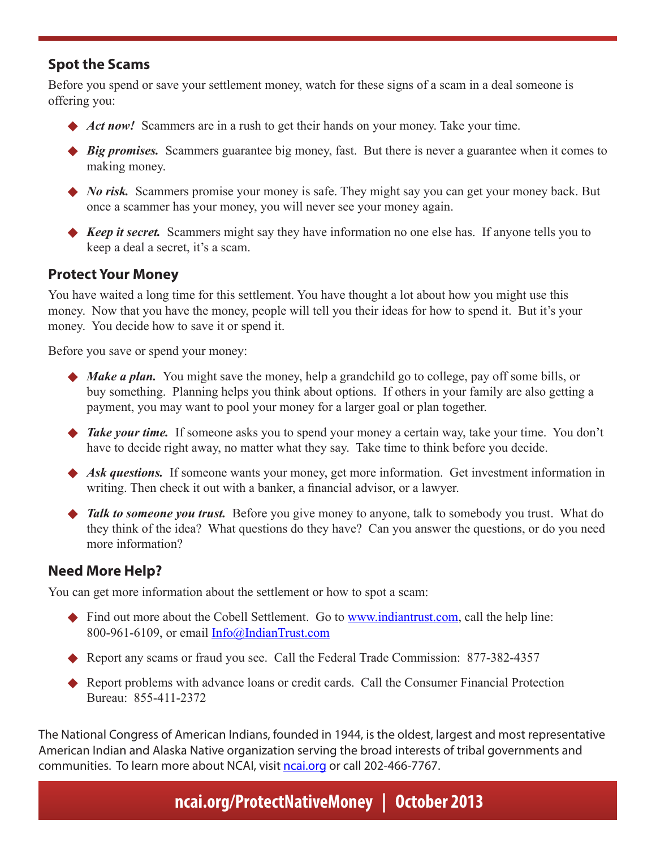### **Spot the Scams**

Before you spend or save your settlement money, watch for these signs of a scam in a deal someone is offering you:

- Act now! Scammers are in a rush to get their hands on your money. Take your time.
- ◆ *Big promises.* Scammers guarantee big money, fast. But there is never a guarantee when it comes to making money.
- ◆ *No risk.* Scammers promise your money is safe. They might say you can get your money back. But once a scammer has your money, you will never see your money again.
- ◆ *Keep it secret.* Scammers might say they have information no one else has. If anyone tells you to keep a deal a secret, it's a scam.

### **Protect Your Money**

You have waited a long time for this settlement. You have thought a lot about how you might use this money. Now that you have the money, people will tell you their ideas for how to spend it. But it's your money. You decide how to save it or spend it.

Before you save or spend your money:

- ◆ *Make a plan.* You might save the money, help a grandchild go to college, pay off some bills, or buy something. Planning helps you think about options. If others in your family are also getting a payment, you may want to pool your money for a larger goal or plan together.
- ◆ *Take your time.* If someone asks you to spend your money a certain way, take your time. You don't have to decide right away, no matter what they say. Take time to think before you decide.
- Ask questions. If someone wants your money, get more information. Get investment information in writing. Then check it out with a banker, a financial advisor, or a lawyer.
- ◆ *Talk to someone you trust.* Before you give money to anyone, talk to somebody you trust. What do they think of the idea? What questions do they have? Can you answer the questions, or do you need more information?

### **Need More Help?**

You can get more information about the settlement or how to spot a scam:

- $\blacklozenge$  Find out more about the Cobell Settlement. Go to www.indiantrust.com, call the help line: 800-961-6109, or email Info@IndianTrust.com
- Report any scams or fraud you see. Call the Federal Trade Commission:  $877-382-4357$
- $\blacklozenge$  Report problems with advance loans or credit cards. Call the Consumer Financial Protection Bureau: 855-411-2372

The National Congress of American Indians, founded in 1944, is the oldest, largest and most representative American Indian and Alaska Native organization serving the broad interests of tribal governments and communities. To learn more about NCAI, visit ncai.org or call 202-466-7767.